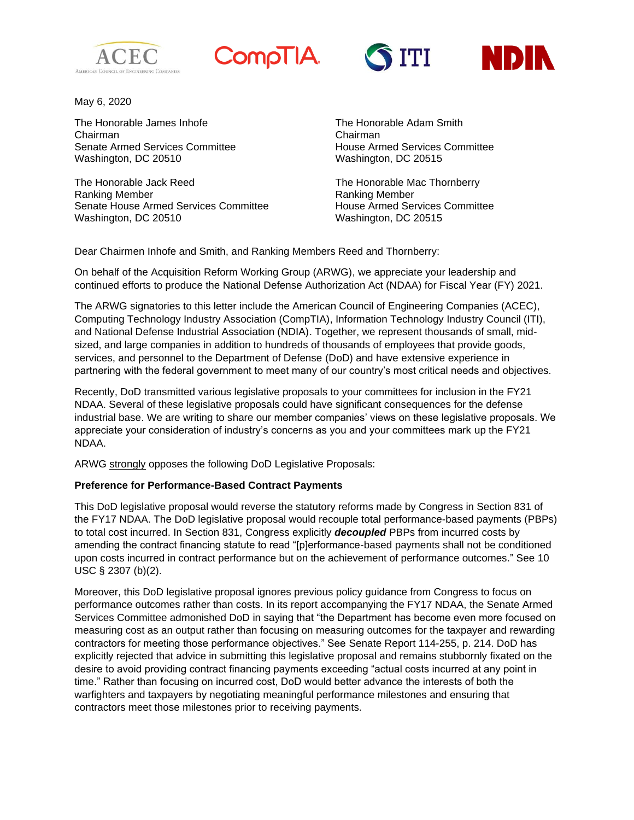







May 6, 2020

The Honorable James Inhofe The The Honorable Adam Smith Chairman Chairman Senate Armed Services Committee House Armed Services Committee Washington, DC 20510 Washington, DC 20515

The Honorable Jack Reed The Honorable Mac Thornberry Ranking Member **Ranking Member** Ranking Member Senate House Armed Services Committee House Armed Services Committee Washington, DC 20510 Washington, DC 20515

Dear Chairmen Inhofe and Smith, and Ranking Members Reed and Thornberry:

On behalf of the Acquisition Reform Working Group (ARWG), we appreciate your leadership and continued efforts to produce the National Defense Authorization Act (NDAA) for Fiscal Year (FY) 2021.

The ARWG signatories to this letter include the American Council of Engineering Companies (ACEC), Computing Technology Industry Association (CompTIA), Information Technology Industry Council (ITI), and National Defense Industrial Association (NDIA). Together, we represent thousands of small, midsized, and large companies in addition to hundreds of thousands of employees that provide goods, services, and personnel to the Department of Defense (DoD) and have extensive experience in partnering with the federal government to meet many of our country's most critical needs and objectives.

Recently, DoD transmitted various legislative proposals to your committees for inclusion in the FY21 NDAA. Several of these legislative proposals could have significant consequences for the defense industrial base. We are writing to share our member companies' views on these legislative proposals. We appreciate your consideration of industry's concerns as you and your committees mark up the FY21 NDAA.

ARWG strongly opposes the following DoD Legislative Proposals:

## **Preference for Performance-Based Contract Payments**

This DoD legislative proposal would reverse the statutory reforms made by Congress in Section 831 of the FY17 NDAA. The DoD legislative proposal would recouple total performance-based payments (PBPs) to total cost incurred. In Section 831, Congress explicitly *decoupled* PBPs from incurred costs by amending the contract financing statute to read "[p]erformance-based payments shall not be conditioned upon costs incurred in contract performance but on the achievement of performance outcomes." See 10 USC § 2307 (b)(2).

Moreover, this DoD legislative proposal ignores previous policy guidance from Congress to focus on performance outcomes rather than costs. In its report accompanying the FY17 NDAA, the Senate Armed Services Committee admonished DoD in saying that "the Department has become even more focused on measuring cost as an output rather than focusing on measuring outcomes for the taxpayer and rewarding contractors for meeting those performance objectives." See Senate Report 114-255, p. 214. DoD has explicitly rejected that advice in submitting this legislative proposal and remains stubbornly fixated on the desire to avoid providing contract financing payments exceeding "actual costs incurred at any point in time." Rather than focusing on incurred cost, DoD would better advance the interests of both the warfighters and taxpayers by negotiating meaningful performance milestones and ensuring that contractors meet those milestones prior to receiving payments.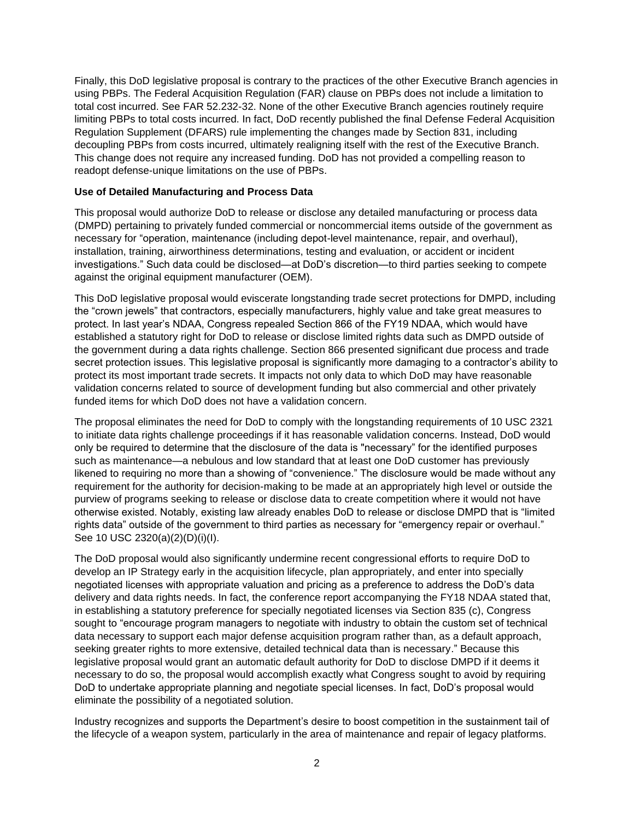Finally, this DoD legislative proposal is contrary to the practices of the other Executive Branch agencies in using PBPs. The Federal Acquisition Regulation (FAR) clause on PBPs does not include a limitation to total cost incurred. See FAR 52.232-32. None of the other Executive Branch agencies routinely require limiting PBPs to total costs incurred. In fact, DoD recently published the final Defense Federal Acquisition Regulation Supplement (DFARS) rule implementing the changes made by Section 831, including decoupling PBPs from costs incurred, ultimately realigning itself with the rest of the Executive Branch. This change does not require any increased funding. DoD has not provided a compelling reason to readopt defense-unique limitations on the use of PBPs.

## **Use of Detailed Manufacturing and Process Data**

This proposal would authorize DoD to release or disclose any detailed manufacturing or process data (DMPD) pertaining to privately funded commercial or noncommercial items outside of the government as necessary for "operation, maintenance (including depot-level maintenance, repair, and overhaul), installation, training, airworthiness determinations, testing and evaluation, or accident or incident investigations." Such data could be disclosed—at DoD's discretion—to third parties seeking to compete against the original equipment manufacturer (OEM).

This DoD legislative proposal would eviscerate longstanding trade secret protections for DMPD, including the "crown jewels" that contractors, especially manufacturers, highly value and take great measures to protect. In last year's NDAA, Congress repealed Section 866 of the FY19 NDAA, which would have established a statutory right for DoD to release or disclose limited rights data such as DMPD outside of the government during a data rights challenge. Section 866 presented significant due process and trade secret protection issues. This legislative proposal is significantly more damaging to a contractor's ability to protect its most important trade secrets. It impacts not only data to which DoD may have reasonable validation concerns related to source of development funding but also commercial and other privately funded items for which DoD does not have a validation concern.

The proposal eliminates the need for DoD to comply with the longstanding requirements of 10 USC 2321 to initiate data rights challenge proceedings if it has reasonable validation concerns. Instead, DoD would only be required to determine that the disclosure of the data is "necessary" for the identified purposes such as maintenance—a nebulous and low standard that at least one DoD customer has previously likened to requiring no more than a showing of "convenience." The disclosure would be made without any requirement for the authority for decision-making to be made at an appropriately high level or outside the purview of programs seeking to release or disclose data to create competition where it would not have otherwise existed. Notably, existing law already enables DoD to release or disclose DMPD that is "limited rights data" outside of the government to third parties as necessary for "emergency repair or overhaul." See 10 USC 2320(a)(2)(D)(i)(I).

The DoD proposal would also significantly undermine recent congressional efforts to require DoD to develop an IP Strategy early in the acquisition lifecycle, plan appropriately, and enter into specially negotiated licenses with appropriate valuation and pricing as a preference to address the DoD's data delivery and data rights needs. In fact, the conference report accompanying the FY18 NDAA stated that, in establishing a statutory preference for specially negotiated licenses via Section 835 (c), Congress sought to "encourage program managers to negotiate with industry to obtain the custom set of technical data necessary to support each major defense acquisition program rather than, as a default approach, seeking greater rights to more extensive, detailed technical data than is necessary." Because this legislative proposal would grant an automatic default authority for DoD to disclose DMPD if it deems it necessary to do so, the proposal would accomplish exactly what Congress sought to avoid by requiring DoD to undertake appropriate planning and negotiate special licenses. In fact, DoD's proposal would eliminate the possibility of a negotiated solution.

Industry recognizes and supports the Department's desire to boost competition in the sustainment tail of the lifecycle of a weapon system, particularly in the area of maintenance and repair of legacy platforms.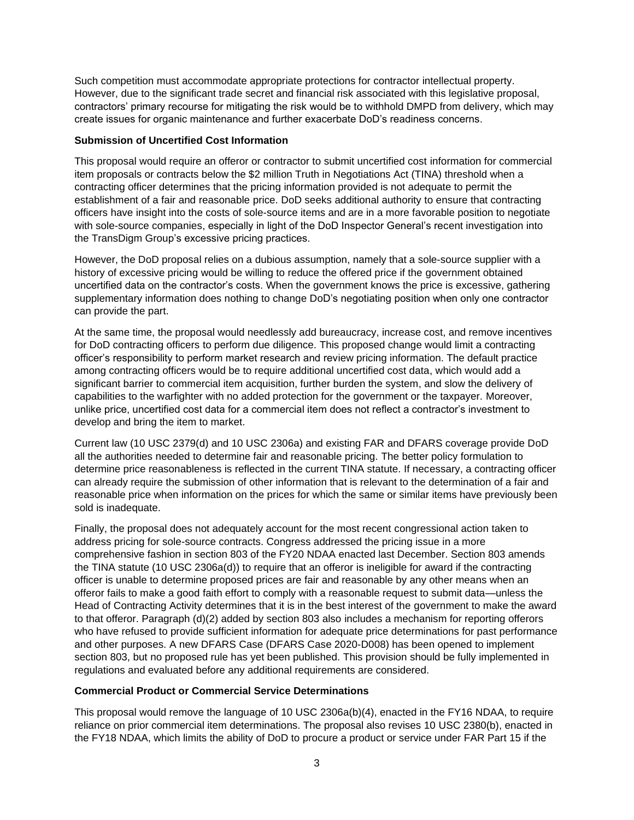Such competition must accommodate appropriate protections for contractor intellectual property. However, due to the significant trade secret and financial risk associated with this legislative proposal, contractors' primary recourse for mitigating the risk would be to withhold DMPD from delivery, which may create issues for organic maintenance and further exacerbate DoD's readiness concerns.

## **Submission of Uncertified Cost Information**

This proposal would require an offeror or contractor to submit uncertified cost information for commercial item proposals or contracts below the \$2 million Truth in Negotiations Act (TINA) threshold when a contracting officer determines that the pricing information provided is not adequate to permit the establishment of a fair and reasonable price. DoD seeks additional authority to ensure that contracting officers have insight into the costs of sole-source items and are in a more favorable position to negotiate with sole-source companies, especially in light of the DoD Inspector General's recent investigation into the TransDigm Group's excessive pricing practices.

However, the DoD proposal relies on a dubious assumption, namely that a sole-source supplier with a history of excessive pricing would be willing to reduce the offered price if the government obtained uncertified data on the contractor's costs. When the government knows the price is excessive, gathering supplementary information does nothing to change DoD's negotiating position when only one contractor can provide the part.

At the same time, the proposal would needlessly add bureaucracy, increase cost, and remove incentives for DoD contracting officers to perform due diligence. This proposed change would limit a contracting officer's responsibility to perform market research and review pricing information. The default practice among contracting officers would be to require additional uncertified cost data, which would add a significant barrier to commercial item acquisition, further burden the system, and slow the delivery of capabilities to the warfighter with no added protection for the government or the taxpayer. Moreover, unlike price, uncertified cost data for a commercial item does not reflect a contractor's investment to develop and bring the item to market.

Current law (10 USC 2379(d) and 10 USC 2306a) and existing FAR and DFARS coverage provide DoD all the authorities needed to determine fair and reasonable pricing. The better policy formulation to determine price reasonableness is reflected in the current TINA statute. If necessary, a contracting officer can already require the submission of other information that is relevant to the determination of a fair and reasonable price when information on the prices for which the same or similar items have previously been sold is inadequate.

Finally, the proposal does not adequately account for the most recent congressional action taken to address pricing for sole-source contracts. Congress addressed the pricing issue in a more comprehensive fashion in section 803 of the FY20 NDAA enacted last December. Section 803 amends the TINA statute (10 USC 2306a(d)) to require that an offeror is ineligible for award if the contracting officer is unable to determine proposed prices are fair and reasonable by any other means when an offeror fails to make a good faith effort to comply with a reasonable request to submit data—unless the Head of Contracting Activity determines that it is in the best interest of the government to make the award to that offeror. Paragraph (d)(2) added by section 803 also includes a mechanism for reporting offerors who have refused to provide sufficient information for adequate price determinations for past performance and other purposes. A new DFARS Case (DFARS Case 2020-D008) has been opened to implement section 803, but no proposed rule has yet been published. This provision should be fully implemented in regulations and evaluated before any additional requirements are considered.

## **Commercial Product or Commercial Service Determinations**

This proposal would remove the language of 10 USC 2306a(b)(4), enacted in the FY16 NDAA, to require reliance on prior commercial item determinations. The proposal also revises 10 USC 2380(b), enacted in the FY18 NDAA, which limits the ability of DoD to procure a product or service under FAR Part 15 if the